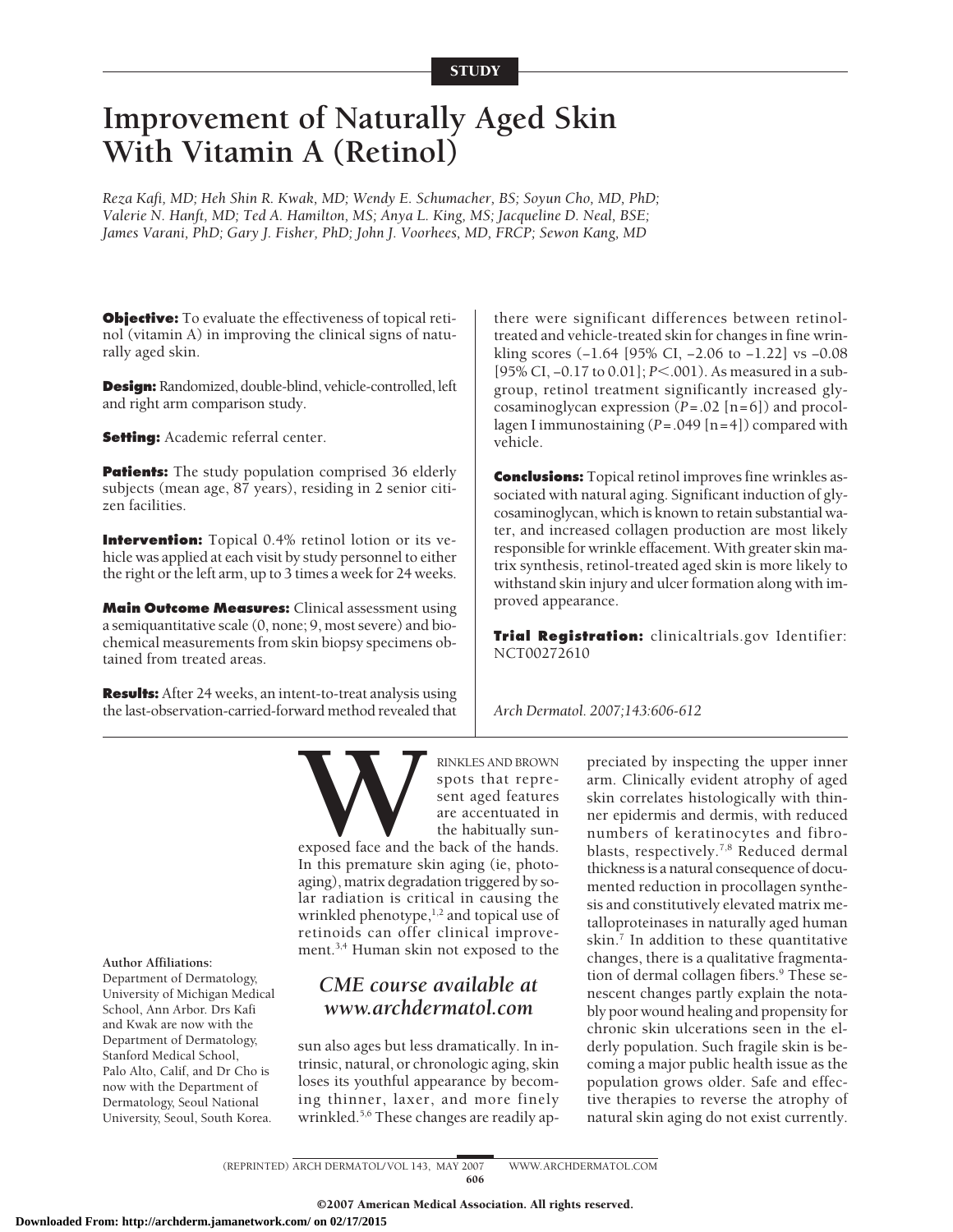# **Improvement of Naturally Aged Skin With Vitamin A (Retinol)**

*Reza Kafi, MD; Heh Shin R. Kwak, MD; Wendy E. Schumacher, BS; Soyun Cho, MD, PhD; Valerie N. Hanft, MD; Ted A. Hamilton, MS; Anya L. King, MS; Jacqueline D. Neal, BSE; James Varani, PhD; Gary J. Fisher, PhD; John J. Voorhees, MD, FRCP; Sewon Kang, MD*

**Objective:** To evaluate the effectiveness of topical retinol (vitamin A) in improving the clinical signs of naturally aged skin.

**Design:** Randomized, double-blind, vehicle-controlled, left and right arm comparison study.

**Setting:** Academic referral center.

**Patients:** The study population comprised 36 elderly subjects (mean age, 87 years), residing in 2 senior citizen facilities.

**Intervention:** Topical 0.4% retinol lotion or its vehicle was applied at each visit by study personnel to either the right or the left arm, up to 3 times a week for 24 weeks.

**Main Outcome Measures:** Clinical assessment using a semiquantitative scale (0, none; 9, most severe) and biochemical measurements from skin biopsy specimens obtained from treated areas.

**Results:** After 24 weeks, an intent-to-treat analysis using the last-observation-carried-forward method revealed that there were significant differences between retinoltreated and vehicle-treated skin for changes in fine wrinkling scores (−1.64 [95% CI, −2.06 to −1.22] vs −0.08 [95% CI, -0.17 to 0.01]; *P*<.001). As measured in a subgroup, retinol treatment significantly increased glycosaminoglycan expression (*P*=.02 [n=6]) and procollagen I immunostaining (*P*=.049 [n=4]) compared with vehicle.

**Conclusions:** Topical retinol improves fine wrinkles associated with natural aging. Significant induction of glycosaminoglycan, which is known to retain substantial water, and increased collagen production are most likely responsible for wrinkle effacement. With greater skin matrix synthesis, retinol-treated aged skin is more likely to withstand skin injury and ulcer formation along with improved appearance.

**Trial Registration:** clinicaltrials.gov Identifier: NCT00272610

*Arch Dermatol. 2007;143:606-612*



Department of Dermatology, University of Michigan Medical School, Ann Arbor. Drs Kafi and Kwak are now with the Department of Dermatology, Stanford Medical School, Palo Alto, Calif, and Dr Cho is now with the Department of Dermatology, Seoul National University, Seoul, South Korea.

**WARKLES AND BROWN**<br>spots that represent aged features<br>are accentuated in<br>the habitually sun-<br>In this premature skin aging (ie, photospots that represent aged features are accentuated in the habitually sun-

exposed face and the back of the hands. In this premature skin aging (ie, photoaging), matrix degradation triggered by solar radiation is critical in causing the wrinkled phenotype, $1,2$  and topical use of retinoids can offer clinical improvement.<sup>3,4</sup> Human skin not exposed to the

## *CME course available at www.archdermatol.com*

sun also ages but less dramatically. In intrinsic, natural, or chronologic aging, skin loses its youthful appearance by becoming thinner, laxer, and more finely wrinkled.<sup>5,6</sup> These changes are readily ap-

preciated by inspecting the upper inner arm. Clinically evident atrophy of aged skin correlates histologically with thinner epidermis and dermis, with reduced numbers of keratinocytes and fibroblasts, respectively.7,8 Reduced dermal thickness is a natural consequence of documented reduction in procollagen synthesis and constitutively elevated matrix metalloproteinases in naturally aged human skin. $<sup>7</sup>$  In addition to these quantitative</sup> changes, there is a qualitative fragmentation of dermal collagen fibers.<sup>9</sup> These senescent changes partly explain the notably poor wound healing and propensity for chronic skin ulcerations seen in the elderly population. Such fragile skin is becoming a major public health issue as the population grows older. Safe and effective therapies to reverse the atrophy of natural skin aging do not exist currently.

(REPRINTED) ARCH DERMATOL/ VOL 143, MAY 2007 WWW.ARCHDERMATOL.COM 606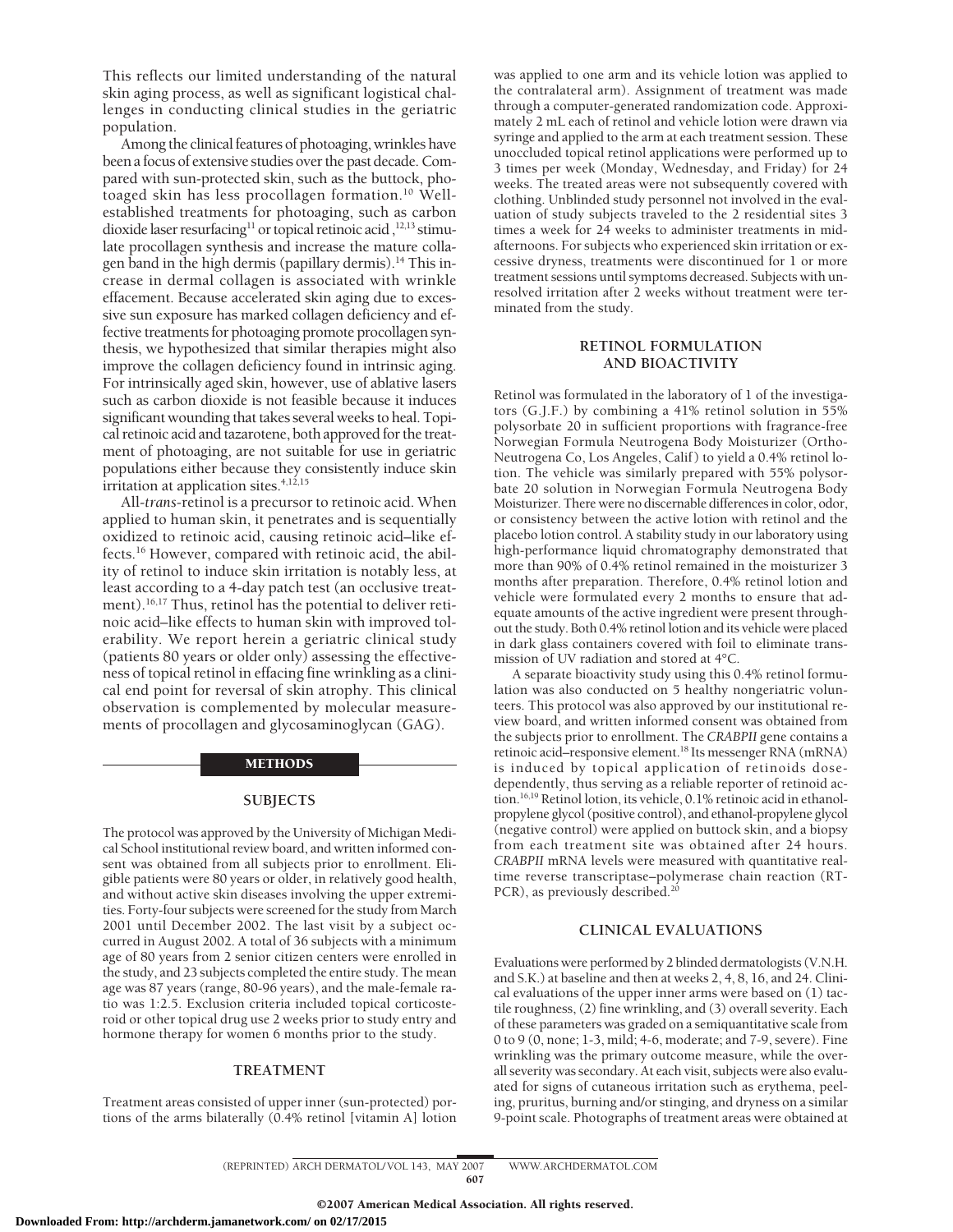This reflects our limited understanding of the natural skin aging process, as well as significant logistical challenges in conducting clinical studies in the geriatric population.

Among the clinical features of photoaging, wrinkles have been a focus of extensive studies over the past decade. Compared with sun-protected skin, such as the buttock, photoaged skin has less procollagen formation.<sup>10</sup> Wellestablished treatments for photoaging, such as carbon dioxide laser resurfacing<sup>11</sup> or topical retinoic acid,<sup>12,13</sup> stimulate procollagen synthesis and increase the mature collagen band in the high dermis (papillary dermis).<sup>14</sup> This increase in dermal collagen is associated with wrinkle effacement. Because accelerated skin aging due to excessive sun exposure has marked collagen deficiency and effective treatments for photoaging promote procollagen synthesis, we hypothesized that similar therapies might also improve the collagen deficiency found in intrinsic aging. For intrinsically aged skin, however, use of ablative lasers such as carbon dioxide is not feasible because it induces significant wounding that takes several weeks to heal. Topical retinoic acid and tazarotene, both approved for the treatment of photoaging, are not suitable for use in geriatric populations either because they consistently induce skin irritation at application sites. $4,12,15$ 

All-*trans*-retinol is a precursor to retinoic acid. When applied to human skin, it penetrates and is sequentially oxidized to retinoic acid, causing retinoic acid–like effects.16 However, compared with retinoic acid, the ability of retinol to induce skin irritation is notably less, at least according to a 4-day patch test (an occlusive treatment).<sup>16,17</sup> Thus, retinol has the potential to deliver retinoic acid–like effects to human skin with improved tolerability. We report herein a geriatric clinical study (patients 80 years or older only) assessing the effectiveness of topical retinol in effacing fine wrinkling as a clinical end point for reversal of skin atrophy. This clinical observation is complemented by molecular measurements of procollagen and glycosaminoglycan (GAG).

#### METHODS

## **SUBJECTS**

The protocol was approved by the University of Michigan Medical School institutional review board, and written informed consent was obtained from all subjects prior to enrollment. Eligible patients were 80 years or older, in relatively good health, and without active skin diseases involving the upper extremities. Forty-four subjects were screened for the study from March 2001 until December 2002. The last visit by a subject occurred in August 2002. A total of 36 subjects with a minimum age of 80 years from 2 senior citizen centers were enrolled in the study, and 23 subjects completed the entire study. The mean age was 87 years (range, 80-96 years), and the male-female ratio was 1:2.5. Exclusion criteria included topical corticosteroid or other topical drug use 2 weeks prior to study entry and hormone therapy for women 6 months prior to the study.

### **TREATMENT**

Treatment areas consisted of upper inner (sun-protected) portions of the arms bilaterally (0.4% retinol [vitamin A] lotion was applied to one arm and its vehicle lotion was applied to the contralateral arm). Assignment of treatment was made through a computer-generated randomization code. Approximately 2 mL each of retinol and vehicle lotion were drawn via syringe and applied to the arm at each treatment session. These unoccluded topical retinol applications were performed up to 3 times per week (Monday, Wednesday, and Friday) for 24 weeks. The treated areas were not subsequently covered with clothing. Unblinded study personnel not involved in the evaluation of study subjects traveled to the 2 residential sites 3 times a week for 24 weeks to administer treatments in midafternoons. For subjects who experienced skin irritation or excessive dryness, treatments were discontinued for 1 or more treatment sessions until symptoms decreased. Subjects with unresolved irritation after 2 weeks without treatment were terminated from the study.

## **RETINOL FORMULATION AND BIOACTIVITY**

Retinol was formulated in the laboratory of 1 of the investigators (G.J.F.) by combining a 41% retinol solution in 55% polysorbate 20 in sufficient proportions with fragrance-free Norwegian Formula Neutrogena Body Moisturizer (Ortho-Neutrogena Co, Los Angeles, Calif) to yield a 0.4% retinol lotion. The vehicle was similarly prepared with 55% polysorbate 20 solution in Norwegian Formula Neutrogena Body Moisturizer. There were no discernable differences in color, odor, or consistency between the active lotion with retinol and the placebo lotion control. A stability study in our laboratory using high-performance liquid chromatography demonstrated that more than 90% of 0.4% retinol remained in the moisturizer 3 months after preparation. Therefore, 0.4% retinol lotion and vehicle were formulated every 2 months to ensure that adequate amounts of the active ingredient were present throughout the study. Both 0.4% retinol lotion and its vehicle were placed in dark glass containers covered with foil to eliminate transmission of UV radiation and stored at 4°C.

A separate bioactivity study using this 0.4% retinol formulation was also conducted on 5 healthy nongeriatric volunteers. This protocol was also approved by our institutional review board, and written informed consent was obtained from the subjects prior to enrollment. The *CRABPII* gene contains a retinoic acid–responsive element.18 Its messenger RNA (mRNA) is induced by topical application of retinoids dosedependently, thus serving as a reliable reporter of retinoid action.16,19 Retinol lotion, its vehicle, 0.1% retinoic acid in ethanolpropylene glycol (positive control), and ethanol-propylene glycol (negative control) were applied on buttock skin, and a biopsy from each treatment site was obtained after 24 hours. *CRABPII* mRNA levels were measured with quantitative realtime reverse transcriptase–polymerase chain reaction (RT-PCR), as previously described.<sup>20</sup>

## **CLINICAL EVALUATIONS**

Evaluations were performed by 2 blinded dermatologists (V.N.H. and S.K.) at baseline and then at weeks 2, 4, 8, 16, and 24. Clinical evaluations of the upper inner arms were based on (1) tactile roughness, (2) fine wrinkling, and (3) overall severity. Each of these parameters was graded on a semiquantitative scale from 0 to 9 (0, none; 1-3, mild; 4-6, moderate; and 7-9, severe). Fine wrinkling was the primary outcome measure, while the overall severity was secondary. At each visit, subjects were also evaluated for signs of cutaneous irritation such as erythema, peeling, pruritus, burning and/or stinging, and dryness on a similar 9-point scale. Photographs of treatment areas were obtained at

(REPRINTED) ARCH DERMATOL/ VOL 143, MAY 2007 WWW.ARCHDERMATOL.COM 607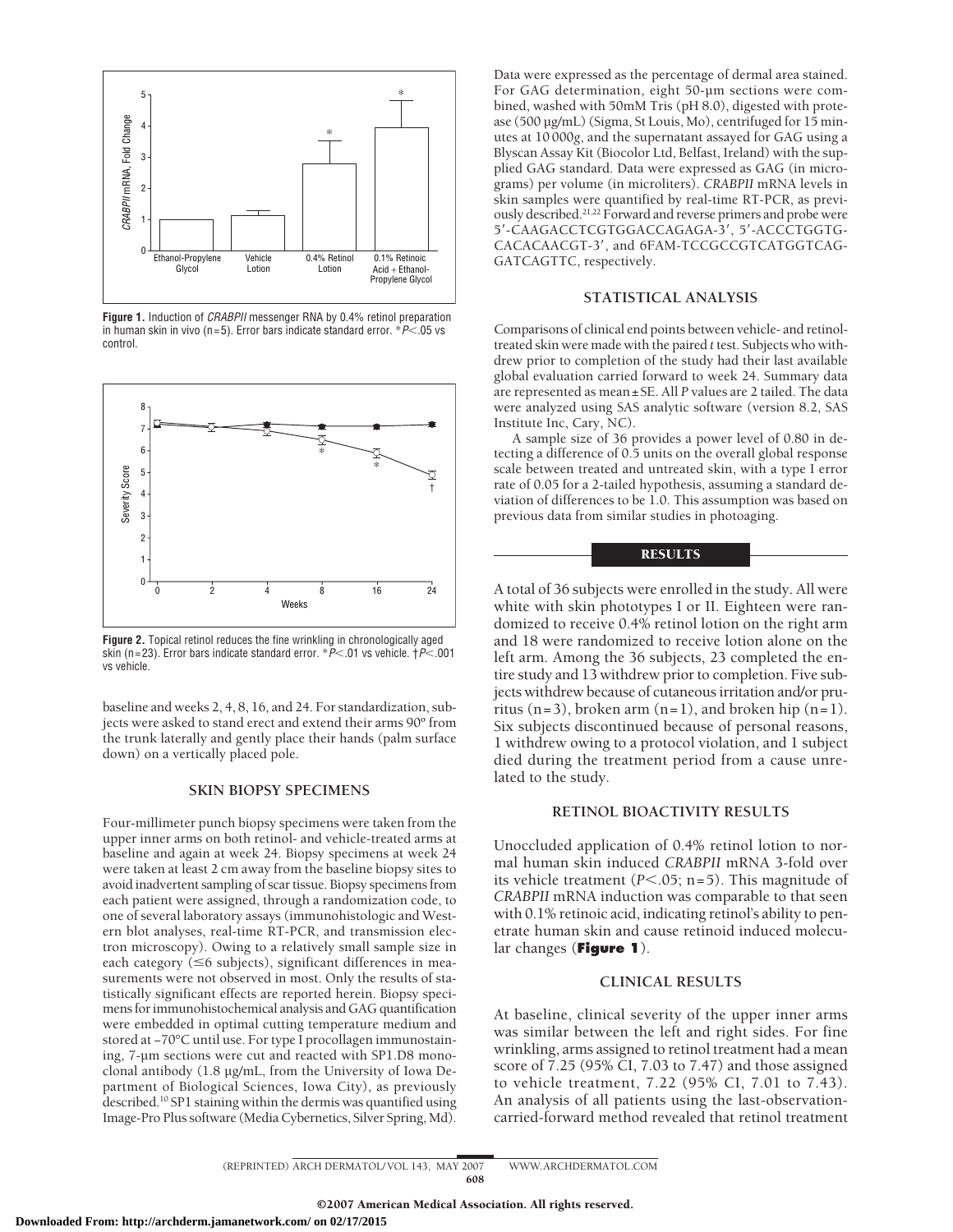

**Figure 1.** Induction of *CRABPII* messenger RNA by 0.4% retinol preparation in human skin in vivo (n=5). Error bars indicate standard error. \**P*<.05 vs control.



**Figure 2.** Topical retinol reduces the fine wrinkling in chronologically aged skin (n=23). Error bars indicate standard error. \**P*<.01 vs vehicle. †*P*<.001 vs vehicle.

baseline and weeks 2, 4, 8, 16, and 24. For standardization, subjects were asked to stand erect and extend their arms 90º from the trunk laterally and gently place their hands (palm surface down) on a vertically placed pole.

## **SKIN BIOPSY SPECIMENS**

Four-millimeter punch biopsy specimens were taken from the upper inner arms on both retinol- and vehicle-treated arms at baseline and again at week 24. Biopsy specimens at week 24 were taken at least 2 cm away from the baseline biopsy sites to avoid inadvertent sampling of scar tissue. Biopsy specimens from each patient were assigned, through a randomization code, to one of several laboratory assays (immunohistologic and Western blot analyses, real-time RT-PCR, and transmission electron microscopy). Owing to a relatively small sample size in each category ( $\leq$ 6 subjects), significant differences in measurements were not observed in most. Only the results of statistically significant effects are reported herein. Biopsy specimens for immunohistochemical analysis and GAG quantification were embedded in optimal cutting temperature medium and stored at −70°C until use. For type I procollagen immunostaining, 7-µm sections were cut and reacted with SP1.D8 monoclonal antibody (1.8 µg/mL, from the University of Iowa Department of Biological Sciences, Iowa City), as previously described.10 SP1 staining within the dermis was quantified using Image-Pro Plus software (Media Cybernetics, Silver Spring, Md).

Data were expressed as the percentage of dermal area stained. For GAG determination, eight 50-µm sections were combined, washed with 50mM Tris (pH 8.0), digested with protease (500 µg/mL) (Sigma, St Louis, Mo), centrifuged for 15 minutes at 10 000*g*, and the supernatant assayed for GAG using a Blyscan Assay Kit (Biocolor Ltd, Belfast, Ireland) with the supplied GAG standard. Data were expressed as GAG (in micrograms) per volume (in microliters). *CRABPII* mRNA levels in skin samples were quantified by real-time RT-PCR, as previously described.21,22 Forward and reverse primers and probe were 5'-CAAGACCTCGTGGACCAGAGA-3', 5'-ACCCTGGTG-CACACAACGT-3, and 6FAM-TCCGCCGTCATGGTCAG-GATCAGTTC, respectively.

## **STATISTICAL ANALYSIS**

Comparisons of clinical end points between vehicle- and retinoltreated skin were made with the paired *t* test. Subjects who withdrew prior to completion of the study had their last available global evaluation carried forward to week 24. Summary data are represented as mean±SE. All *P* values are 2 tailed. The data were analyzed using SAS analytic software (version 8.2, SAS Institute Inc, Cary, NC).

A sample size of 36 provides a power level of 0.80 in detecting a difference of 0.5 units on the overall global response scale between treated and untreated skin, with a type I error rate of 0.05 for a 2-tailed hypothesis, assuming a standard deviation of differences to be 1.0. This assumption was based on previous data from similar studies in photoaging.

## **RESULTS**

A total of 36 subjects were enrolled in the study. All were white with skin phototypes I or II. Eighteen were randomized to receive 0.4% retinol lotion on the right arm and 18 were randomized to receive lotion alone on the left arm. Among the 36 subjects, 23 completed the entire study and 13 withdrew prior to completion. Five subjects withdrew because of cutaneous irritation and/or pruritus  $(n=3)$ , broken arm  $(n=1)$ , and broken hip  $(n=1)$ . Six subjects discontinued because of personal reasons, 1 withdrew owing to a protocol violation, and 1 subject died during the treatment period from a cause unrelated to the study.

## **RETINOL BIOACTIVITY RESULTS**

Unoccluded application of 0.4% retinol lotion to normal human skin induced *CRABPII* mRNA 3-fold over its vehicle treatment  $(P<.05; n=5)$ . This magnitude of *CRABPII* mRNA induction was comparable to that seen with 0.1% retinoic acid, indicating retinol's ability to penetrate human skin and cause retinoid induced molecular changes (**Figure 1**).

## **CLINICAL RESULTS**

At baseline, clinical severity of the upper inner arms was similar between the left and right sides. For fine wrinkling, arms assigned to retinol treatment had a mean score of 7.25 (95% CI, 7.03 to 7.47) and those assigned to vehicle treatment, 7.22 (95% CI, 7.01 to 7.43). An analysis of all patients using the last-observationcarried-forward method revealed that retinol treatment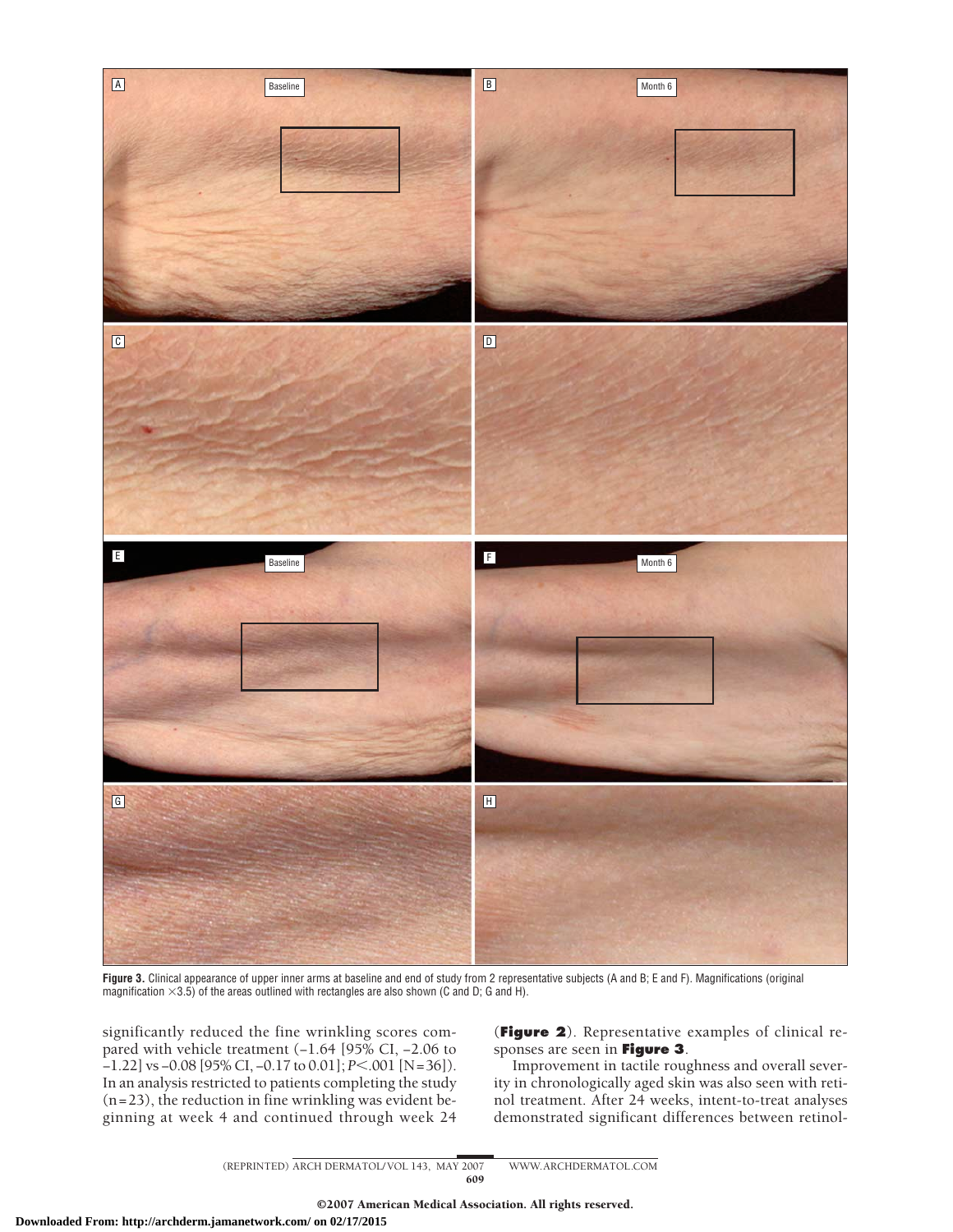

**Figure 3.** Clinical appearance of upper inner arms at baseline and end of study from 2 representative subjects (A and B; E and F). Magnifications (original magnification  $\times$ 3.5) of the areas outlined with rectangles are also shown (C and D; G and H).

significantly reduced the fine wrinkling scores compared with vehicle treatment (−1.64 [95% CI, −2.06 to −1.22] vs −0.08 [95% CI, −0.17 to 0.01]; *P*.001 [N=36]). In an analysis restricted to patients completing the study  $(n=23)$ , the reduction in fine wrinkling was evident beginning at week 4 and continued through week 24

(**Figure 2**). Representative examples of clinical responses are seen in **Figure 3**.

Improvement in tactile roughness and overall severity in chronologically aged skin was also seen with retinol treatment. After 24 weeks, intent-to-treat analyses demonstrated significant differences between retinol-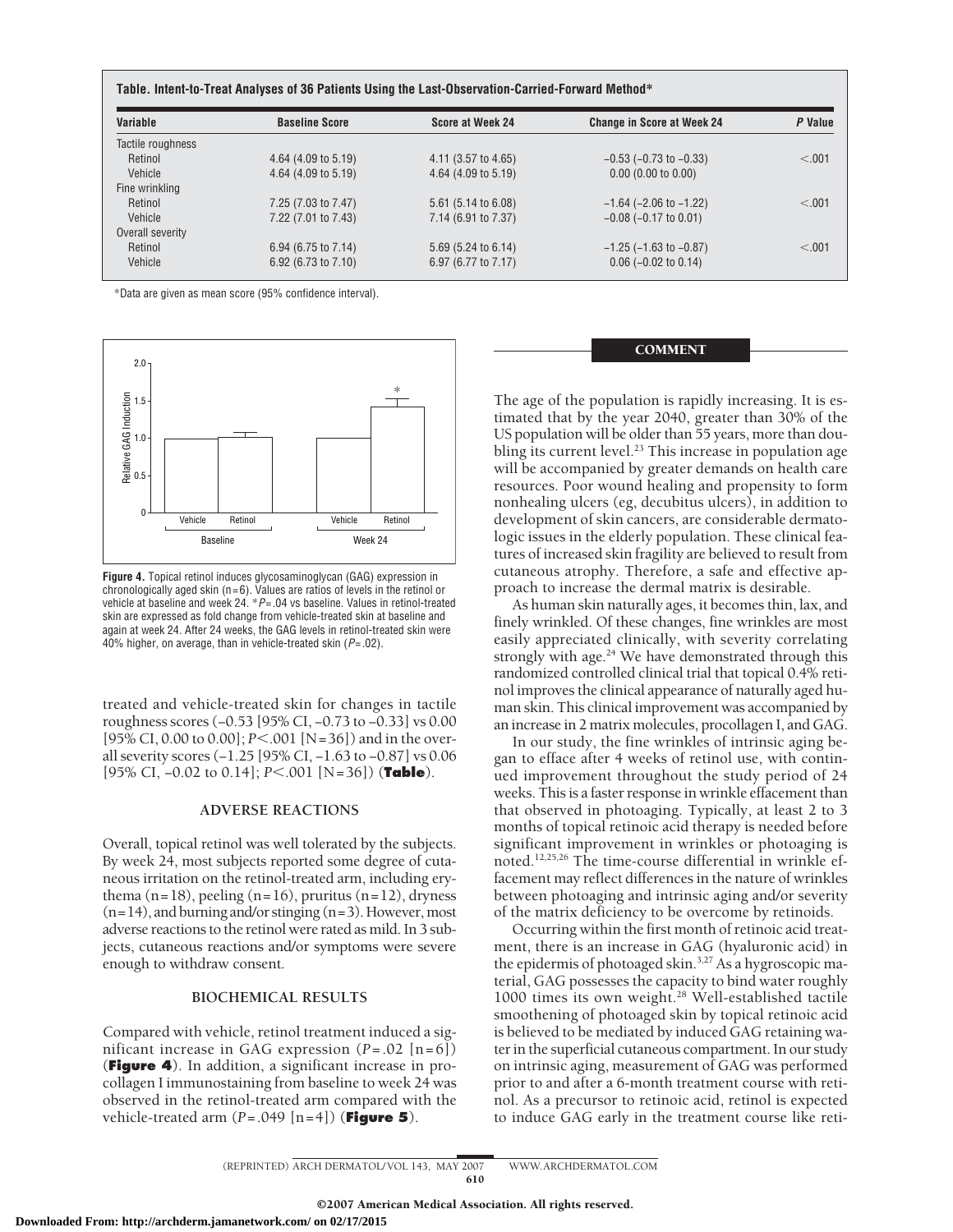| Variable          | <b>Baseline Score</b> | Score at Week 24      | <b>Change in Score at Week 24</b> | P Value |
|-------------------|-----------------------|-----------------------|-----------------------------------|---------|
| Tactile roughness |                       |                       |                                   |         |
| Retinol           | 4.64 (4.09 to 5.19)   | 4.11 (3.57 to 4.65)   | $-0.53$ ( $-0.73$ to $-0.33$ )    | < 0.01  |
| Vehicle           | 4.64 (4.09 to 5.19)   | $4.64$ (4.09 to 5.19) | $0.00$ (0.00 to 0.00)             |         |
| Fine wrinkling    |                       |                       |                                   |         |
| Retinol           | 7.25 (7.03 to 7.47)   | 5.61 (5.14 to 6.08)   | $-1.64$ ( $-2.06$ to $-1.22$ )    | < 0.01  |
| Vehicle           | 7.22 (7.01 to 7.43)   | 7.14 (6.91 to 7.37)   | $-0.08$ ( $-0.17$ to 0.01)        |         |
| Overall severity  |                       |                       |                                   |         |
| Retinol           | 6.94 (6.75 to 7.14)   | $5.69$ (5.24 to 6.14) | $-1.25$ ( $-1.63$ to $-0.87$ )    | < 0.01  |
| Vehicle           | 6.92 (6.73 to 7.10)   | 6.97 (6.77 to 7.17)   | $0.06$ (-0.02 to 0.14)            |         |

\*Data are given as mean score (95% confidence interval).



**Figure 4.** Topical retinol induces glycosaminoglycan (GAG) expression in chronologically aged skin ( $n=6$ ). Values are ratios of levels in the retinol or vehicle at baseline and week 24. \**P*=.04 vs baseline. Values in retinol-treated skin are expressed as fold change from vehicle-treated skin at baseline and again at week 24. After 24 weeks, the GAG levels in retinol-treated skin were 40% higher, on average, than in vehicle-treated skin (*P*=.02).

treated and vehicle-treated skin for changes in tactile roughness scores (−0.53 [95% CI, −0.73 to −0.33] vs 0.00 [95% CI, 0.00 to 0.00]; *P*<.001 [N=36]) and in the overall severity scores (−1.25 [95% CI, −1.63 to −0.87] vs 0.06 [95% CI, −0.02 to 0.14]; *P*.001 [N=36]) (**Table**).

## **ADVERSE REACTIONS**

Overall, topical retinol was well tolerated by the subjects. By week 24, most subjects reported some degree of cutaneous irritation on the retinol-treated arm, including erythema  $(n=18)$ , peeling  $(n=16)$ , pruritus  $(n=12)$ , dryness  $(n=14)$ , and burning and/or stinging  $(n=3)$ . However, most adverse reactions to the retinol were rated as mild. In 3 subjects, cutaneous reactions and/or symptoms were severe enough to withdraw consent.

## **BIOCHEMICAL RESULTS**

Compared with vehicle, retinol treatment induced a significant increase in GAG expression (*P*=.02 [n=6]) (**Figure 4**). In addition, a significant increase in procollagen I immunostaining from baseline to week 24 was observed in the retinol-treated arm compared with the vehicle-treated arm (*P*=.049 [n=4]) (**Figure 5**).

**COMMENT** 

The age of the population is rapidly increasing. It is estimated that by the year 2040, greater than 30% of the US population will be older than 55 years, more than doubling its current level.<sup>23</sup> This increase in population age will be accompanied by greater demands on health care resources. Poor wound healing and propensity to form nonhealing ulcers (eg, decubitus ulcers), in addition to development of skin cancers, are considerable dermatologic issues in the elderly population. These clinical features of increased skin fragility are believed to result from cutaneous atrophy. Therefore, a safe and effective approach to increase the dermal matrix is desirable.

As human skin naturally ages, it becomes thin, lax, and finely wrinkled. Of these changes, fine wrinkles are most easily appreciated clinically, with severity correlating strongly with age.<sup>24</sup> We have demonstrated through this randomized controlled clinical trial that topical 0.4% retinol improves the clinical appearance of naturally aged human skin. This clinical improvement was accompanied by an increase in 2 matrix molecules, procollagen I, and GAG.

In our study, the fine wrinkles of intrinsic aging began to efface after 4 weeks of retinol use, with continued improvement throughout the study period of 24 weeks. This is a faster response in wrinkle effacement than that observed in photoaging. Typically, at least 2 to 3 months of topical retinoic acid therapy is needed before significant improvement in wrinkles or photoaging is noted.12,25,26 The time-course differential in wrinkle effacement may reflect differences in the nature of wrinkles between photoaging and intrinsic aging and/or severity of the matrix deficiency to be overcome by retinoids.

Occurring within the first month of retinoic acid treatment, there is an increase in GAG (hyaluronic acid) in the epidermis of photoaged skin.3,27 As a hygroscopic material, GAG possesses the capacity to bind water roughly 1000 times its own weight.<sup>28</sup> Well-established tactile smoothening of photoaged skin by topical retinoic acid is believed to be mediated by induced GAG retaining water in the superficial cutaneous compartment. In our study on intrinsic aging, measurement of GAG was performed prior to and after a 6-month treatment course with retinol. As a precursor to retinoic acid, retinol is expected to induce GAG early in the treatment course like reti-

<sup>(</sup>REPRINTED) ARCH DERMATOL/ VOL 143, MAY 2007 WWW.ARCHDERMATOL.COM 610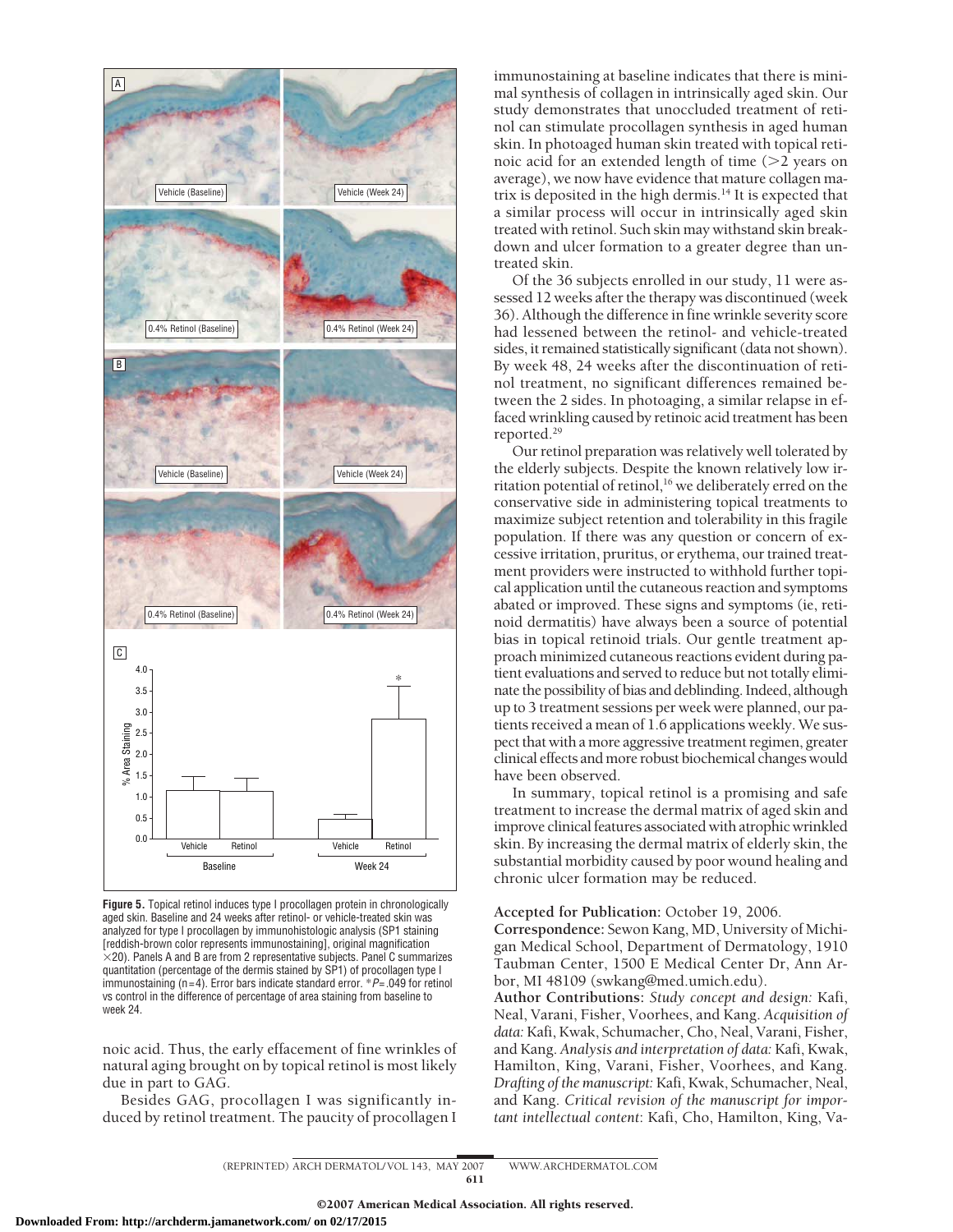

**Figure 5.** Topical retinol induces type I procollagen protein in chronologically aged skin. Baseline and 24 weeks after retinol- or vehicle-treated skin was analyzed for type I procollagen by immunohistologic analysis (SP1 staining [reddish-brown color represents immunostaining], original magnification  $\times$ 20). Panels A and B are from 2 representative subjects. Panel C summarizes quantitation (percentage of the dermis stained by SP1) of procollagen type I immunostaining (n=4). Error bars indicate standard error. \**P*=.049 for retinol vs control in the difference of percentage of area staining from baseline to week 24.

noic acid. Thus, the early effacement of fine wrinkles of natural aging brought on by topical retinol is most likely due in part to GAG.

Besides GAG, procollagen I was significantly induced by retinol treatment. The paucity of procollagen I immunostaining at baseline indicates that there is minimal synthesis of collagen in intrinsically aged skin. Our study demonstrates that unoccluded treatment of retinol can stimulate procollagen synthesis in aged human skin. In photoaged human skin treated with topical retinoic acid for an extended length of time  $(>2$  years on average), we now have evidence that mature collagen matrix is deposited in the high dermis.<sup>14</sup> It is expected that a similar process will occur in intrinsically aged skin treated with retinol. Such skin may withstand skin breakdown and ulcer formation to a greater degree than untreated skin.

Of the 36 subjects enrolled in our study, 11 were assessed 12 weeks after the therapy was discontinued (week 36). Although the difference in fine wrinkle severity score had lessened between the retinol- and vehicle-treated sides, it remained statistically significant (data not shown). By week 48, 24 weeks after the discontinuation of retinol treatment, no significant differences remained between the 2 sides. In photoaging, a similar relapse in effaced wrinkling caused by retinoic acid treatment has been reported.29

Our retinol preparation was relatively well tolerated by the elderly subjects. Despite the known relatively low irritation potential of retinol,<sup>16</sup> we deliberately erred on the conservative side in administering topical treatments to maximize subject retention and tolerability in this fragile population. If there was any question or concern of excessive irritation, pruritus, or erythema, our trained treatment providers were instructed to withhold further topical application until the cutaneous reaction and symptoms abated or improved. These signs and symptoms (ie, retinoid dermatitis) have always been a source of potential bias in topical retinoid trials. Our gentle treatment approach minimized cutaneous reactions evident during patient evaluations and served to reduce but not totally eliminate the possibility of bias and deblinding. Indeed, although up to 3 treatment sessions per week were planned, our patients received a mean of 1.6 applications weekly. We suspect that with a more aggressive treatment regimen, greater clinical effects and more robust biochemical changes would have been observed.

In summary, topical retinol is a promising and safe treatment to increase the dermal matrix of aged skin and improve clinical features associated with atrophic wrinkled skin. By increasing the dermal matrix of elderly skin, the substantial morbidity caused by poor wound healing and chronic ulcer formation may be reduced.

## **Accepted for Publication:** October 19, 2006.

**Correspondence:** Sewon Kang, MD, University of Michigan Medical School, Department of Dermatology, 1910 Taubman Center, 1500 E Medical Center Dr, Ann Arbor, MI 48109 (swkang@med.umich.edu).

**Author Contributions:** *Study concept and design:* Kafi, Neal, Varani, Fisher, Voorhees, and Kang. *Acquisition of data:* Kafi, Kwak, Schumacher, Cho, Neal, Varani, Fisher, and Kang. *Analysis and interpretation of data:* Kafi, Kwak, Hamilton, King, Varani, Fisher, Voorhees, and Kang. *Drafting of the manuscript:* Kafi, Kwak, Schumacher, Neal, and Kang. *Critical revision of the manuscript for important intellectual content*: Kafi, Cho, Hamilton, King, Va-

(REPRINTED) ARCH DERMATOL/ VOL 143, MAY 2007 WWW.ARCHDERMATOL.COM 611